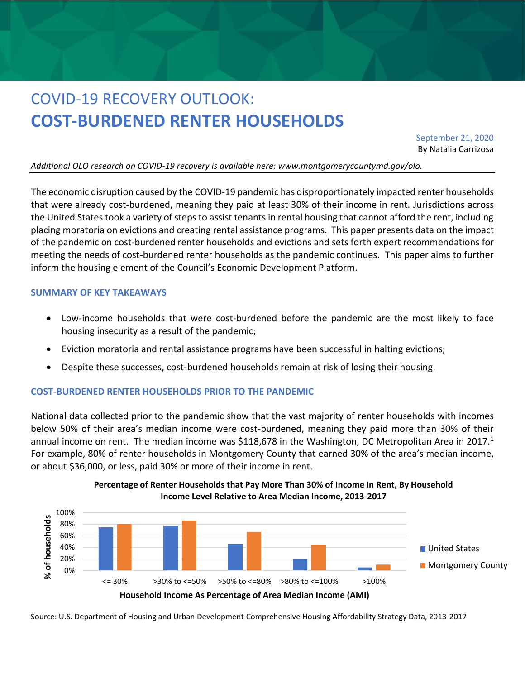# COVID-19 RECOVERY OUTLOOK: **COST-BURDENED RENTER HOUSEHOLDS**

September 21, 2020 By Natalia Carrizosa

*Additional OLO research on COVID-19 recovery is available here: www.montgomerycountymd.gov/olo.*

The economic disruption caused by the COVID-19 pandemic has disproportionately impacted renter households that were already cost-burdened, meaning they paid at least 30% of their income in rent. Jurisdictions across the United States took a variety of steps to assist tenants in rental housing that cannot afford the rent, including placing moratoria on evictions and creating rental assistance programs. This paper presents data on the impact of the pandemic on cost-burdened renter households and evictions and sets forth expert recommendations for meeting the needs of cost-burdened renter households as the pandemic continues. This paper aims to further inform the housing element of the Council's Economic Development Platform.

#### **SUMMARY OF KEY TAKEAWAYS**

- Low-income households that were cost-burdened before the pandemic are the most likely to face housing insecurity as a result of the pandemic;
- Eviction moratoria and rental assistance programs have been successful in halting evictions;
- Despite these successes, cost-burdened households remain at risk of losing their housing.

#### **COST-BURDENED RENTER HOUSEHOLDS PRIOR TO THE PANDEMIC**

National data collected prior to the pandemic show that the vast majority of renter households with incomes below 50% of their area's median income were cost-burdened, meaning they paid more than 30% of their annual income on rent. The median income was \$118,678 in the Washington, DC Metropolitan Area in 2017.<sup>1</sup> For example, 80% of renter households in Montgomery County that earned 30% of the area's median income, or about \$36,000, or less, paid 30% or more of their income in rent.



**Percentage of Renter Households that Pay More Than 30% of Income In Rent, By Household Income Level Relative to Area Median Income, 2013-2017**

Source: U.S. Department of Housing and Urban Development Comprehensive Housing Affordability Strategy Data, 2013-2017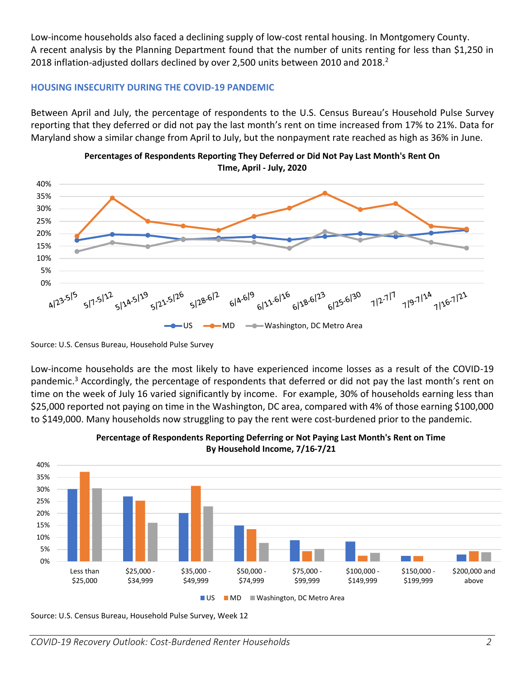Low-income households also faced a declining supply of low-cost rental housing. In Montgomery County. A recent analysis by the Planning Department found that the number of units renting for less than \$1,250 in 2018 inflation-adjusted dollars declined by over 2,500 units between 2010 and 2018.<sup>2</sup>

# **HOUSING INSECURITY DURING THE COVID-19 PANDEMIC**

Between April and July, the percentage of respondents to the U.S. Census Bureau's Household Pulse Survey reporting that they deferred or did not pay the last month's rent on time increased from 17% to 21%. Data for Maryland show a similar change from April to July, but the nonpayment rate reached as high as 36% in June.





Source: U.S. Census Bureau, Household Pulse Survey

Low-income households are the most likely to have experienced income losses as a result of the COVID-19 pandemic.<sup>3</sup> Accordingly, the percentage of respondents that deferred or did not pay the last month's rent on time on the week of July 16 varied significantly by income. For example, 30% of households earning less than \$25,000 reported not paying on time in the Washington, DC area, compared with 4% of those earning \$100,000 to \$149,000. Many households now struggling to pay the rent were cost-burdened prior to the pandemic.





Source: U.S. Census Bureau, Household Pulse Survey, Week 12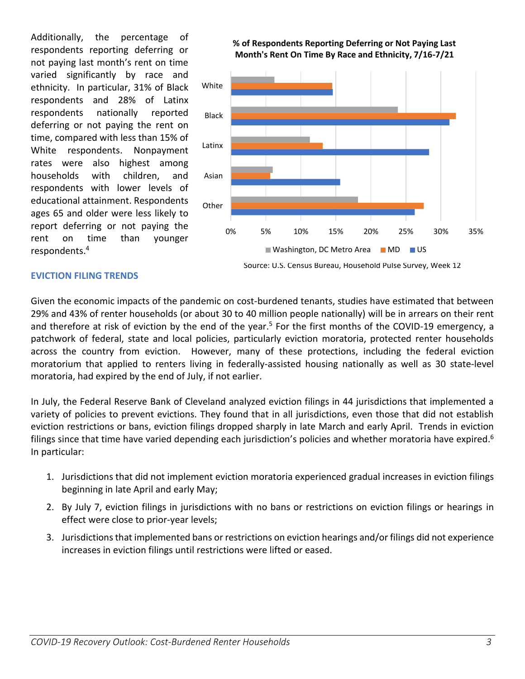Additionally, the percentage of respondents reporting deferring or not paying last month's rent on time varied significantly by race and ethnicity. In particular, 31% of Black respondents and 28% of Latinx respondents nationally reported deferring or not paying the rent on time, compared with less than 15% of White respondents. Nonpayment rates were also highest among households with children, and respondents with lower levels of educational attainment. Respondents ages 65 and older were less likely to report deferring or not paying the rent on time than younger respondents.<sup>4</sup>



#### **% of Respondents Reporting Deferring or Not Paying Last Month's Rent On Time By Race and Ethnicity, 7/16-7/21**



# **EVICTION FILING TRENDS**

Given the economic impacts of the pandemic on cost-burdened tenants, studies have estimated that between 29% and 43% of renter households (or about 30 to 40 million people nationally) will be in arrears on their rent and therefore at risk of eviction by the end of the year.<sup>5</sup> For the first months of the COVID-19 emergency, a patchwork of federal, state and local policies, particularly eviction moratoria, protected renter households across the country from eviction. However, many of these protections, including the federal eviction moratorium that applied to renters living in federally-assisted housing nationally as well as 30 state-level moratoria, had expired by the end of July, if not earlier.

In July, the Federal Reserve Bank of Cleveland analyzed eviction filings in 44 jurisdictions that implemented a variety of policies to prevent evictions. They found that in all jurisdictions, even those that did not establish eviction restrictions or bans, eviction filings dropped sharply in late March and early April. Trends in eviction filings since that time have varied depending each jurisdiction's policies and whether moratoria have expired.<sup>6</sup> In particular:

- 1. Jurisdictions that did not implement eviction moratoria experienced gradual increases in eviction filings beginning in late April and early May;
- 2. By July 7, eviction filings in jurisdictions with no bans or restrictions on eviction filings or hearings in effect were close to prior-year levels;
- 3. Jurisdictions that implemented bans or restrictions on eviction hearings and/or filings did not experience increases in eviction filings until restrictions were lifted or eased.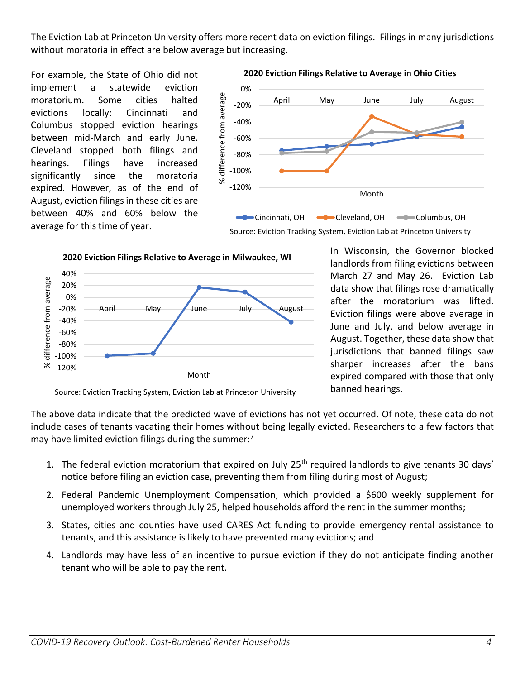The Eviction Lab at Princeton University offers more recent data on eviction filings. Filings in many jurisdictions without moratoria in effect are below average but increasing.

For example, the State of Ohio did not implement a statewide eviction moratorium. Some cities halted evictions locally: Cincinnati and Columbus stopped eviction hearings between mid-March and early June. Cleveland stopped both filings and hearings. Filings have increased significantly since the moratoria expired. However, as of the end of August, eviction filings in these cities are between 40% and 60% below the average for this time of year.



**2020 Eviction Filings Relative to Average in Ohio Cities**







In Wisconsin, the Governor blocked landlords from filing evictions between March 27 and May 26. Eviction Lab data show that filings rose dramatically after the moratorium was lifted. Eviction filings were above average in June and July, and below average in August. Together, these data show that jurisdictions that banned filings saw sharper increases after the bans expired compared with those that only banned hearings.

Source: Eviction Tracking System, Eviction Lab at Princeton University

The above data indicate that the predicted wave of evictions has not yet occurred. Of note, these data do not include cases of tenants vacating their homes without being legally evicted. Researchers to a few factors that may have limited eviction filings during the summer: $<sup>7</sup>$ </sup>

- 1. The federal eviction moratorium that expired on July  $25<sup>th</sup>$  required landlords to give tenants 30 days' notice before filing an eviction case, preventing them from filing during most of August;
- 2. Federal Pandemic Unemployment Compensation, which provided a \$600 weekly supplement for unemployed workers through July 25, helped households afford the rent in the summer months;
- 3. States, cities and counties have used CARES Act funding to provide emergency rental assistance to tenants, and this assistance is likely to have prevented many evictions; and
- 4. Landlords may have less of an incentive to pursue eviction if they do not anticipate finding another tenant who will be able to pay the rent.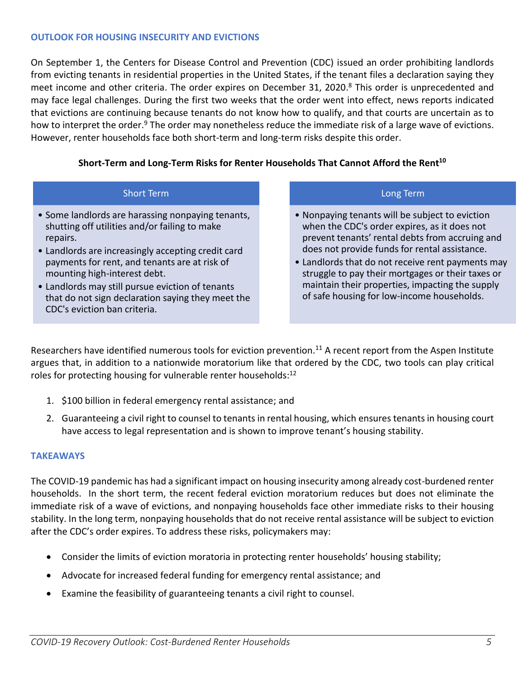# **OUTLOOK FOR HOUSING INSECURITY AND EVICTIONS**

On September 1, the Centers for Disease Control and Prevention (CDC) issued an order prohibiting landlords from evicting tenants in residential properties in the United States, if the tenant files a declaration saying they meet income and other criteria. The order expires on December 31, 2020.<sup>8</sup> This order is unprecedented and may face legal challenges. During the first two weeks that the order went into effect, news reports indicated that evictions are continuing because tenants do not know how to qualify, and that courts are uncertain as to how to interpret the order.<sup>9</sup> The order may nonetheless reduce the immediate risk of a large wave of evictions. However, renter households face both short-term and long-term risks despite this order.

# **Short-Term and Long-Term Risks for Renter Households That Cannot Afford the Rent<sup>10</sup>**

## Short Term

- Some landlords are harassing nonpaying tenants, shutting off utilities and/or failing to make repairs.
- Landlords are increasingly accepting credit card payments for rent, and tenants are at risk of mounting high-interest debt.
- Landlords may still pursue eviction of tenants that do not sign declaration saying they meet the CDC's eviction ban criteria.

## Long Term

- Nonpaying tenants will be subject to eviction when the CDC's order expires, as it does not prevent tenants' rental debts from accruing and does not provide funds for rental assistance.
- Landlords that do not receive rent payments may struggle to pay their mortgages or their taxes or maintain their properties, impacting the supply of safe housing for low-income households.

Researchers have identified numerous tools for eviction prevention.<sup>11</sup> A recent report from the Aspen Institute argues that, in addition to a nationwide moratorium like that ordered by the CDC, two tools can play critical roles for protecting housing for vulnerable renter households: $^{12}$ 

- 1. \$100 billion in federal emergency rental assistance; and
- 2. Guaranteeing a civil right to counsel to tenants in rental housing, which ensures tenants in housing court have access to legal representation and is shown to improve tenant's housing stability.

## **TAKEAWAYS**

The COVID-19 pandemic has had a significant impact on housing insecurity among already cost-burdened renter households. In the short term, the recent federal eviction moratorium reduces but does not eliminate the immediate risk of a wave of evictions, and nonpaying households face other immediate risks to their housing stability. In the long term, nonpaying households that do not receive rental assistance will be subject to eviction after the CDC's order expires. To address these risks, policymakers may:

- Consider the limits of eviction moratoria in protecting renter households' housing stability;
- Advocate for increased federal funding for emergency rental assistance; and
- Examine the feasibility of guaranteeing tenants a civil right to counsel.